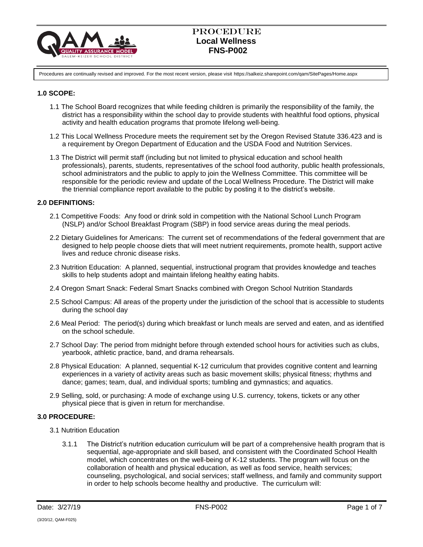

Procedures are continually revised and improved. For the most recent version, please visit https://salkeiz.sharepoint.com/qam/SitePages/Home.aspx

## **1.0 SCOPE:**

- 1.1 The School Board recognizes that while feeding children is primarily the responsibility of the family, the district has a responsibility within the school day to provide students with healthful food options, physical activity and health education programs that promote lifelong well-being.
- 1.2 This Local Wellness Procedure meets the requirement set by the Oregon Revised Statute 336.423 and is a requirement by Oregon Department of Education and the USDA Food and Nutrition Services.
- 1.3 The District will permit staff (including but not limited to physical education and school health professionals), parents, students, representatives of the school food authority, public health professionals, school administrators and the public to apply to join the Wellness Committee. This committee will be responsible for the periodic review and update of the Local Wellness Procedure. The District will make the triennial compliance report available to the public by posting it to the district's website.

### **2.0 DEFINITIONS:**

- 2.1 Competitive Foods: Any food or drink sold in competition with the National School Lunch Program (NSLP) and/or School Breakfast Program (SBP) in food service areas during the meal periods.
- 2.2 Dietary Guidelines for Americans: The current set of recommendations of the federal government that are designed to help people choose diets that will meet nutrient requirements, promote health, support active lives and reduce chronic disease risks.
- 2.3 Nutrition Education: A planned, sequential, instructional program that provides knowledge and teaches skills to help students adopt and maintain lifelong healthy eating habits.
- 2.4 Oregon Smart Snack: Federal Smart Snacks combined with Oregon School Nutrition Standards
- 2.5 School Campus: All areas of the property under the jurisdiction of the school that is accessible to students during the school day
- 2.6 Meal Period: The period(s) during which breakfast or lunch meals are served and eaten, and as identified on the school schedule.
- 2.7 School Day: The period from midnight before through extended school hours for activities such as clubs, yearbook, athletic practice, band, and drama rehearsals.
- 2.8 Physical Education: A planned, sequential K-12 curriculum that provides cognitive content and learning experiences in a variety of activity areas such as basic movement skills; physical fitness; rhythms and dance; games; team, dual, and individual sports; tumbling and gymnastics; and aquatics.
- 2.9 Selling, sold, or purchasing: A mode of exchange using U.S. currency, tokens, tickets or any other physical piece that is given in return for merchandise.

#### **3.0 PROCEDURE:**

- 3.1 Nutrition Education
	- 3.1.1 The District's nutrition education curriculum will be part of a comprehensive health program that is sequential, age-appropriate and skill based, and consistent with the Coordinated School Health model, which concentrates on the well-being of K-12 students. The program will focus on the collaboration of health and physical education, as well as food service, health services; counseling, psychological, and social services; staff wellness, and family and community support in order to help schools become healthy and productive. The curriculum will: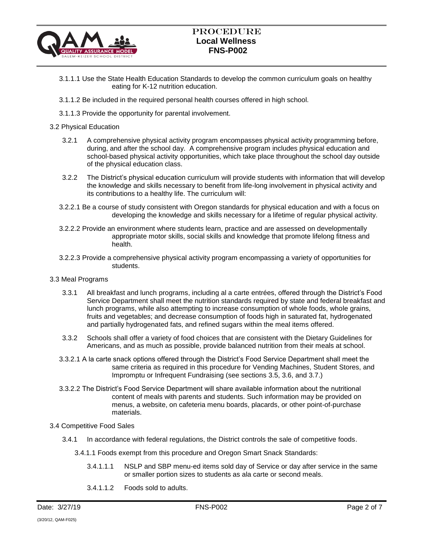

# Procedure  **Local Wellness FNS-P002**

- 3.1.1.1 Use the State Health Education Standards to develop the common curriculum goals on healthy eating for K-12 nutrition education.
- 3.1.1.2 Be included in the required personal health courses offered in high school.
- 3.1.1.3 Provide the opportunity for parental involvement.

### 3.2 Physical Education

- 3.2.1 A comprehensive physical activity program encompasses physical activity programming before, during, and after the school day. A comprehensive program includes physical education and school-based physical activity opportunities, which take place throughout the school day outside of the physical education class.
- 3.2.2 The District's physical education curriculum will provide students with information that will develop the knowledge and skills necessary to benefit from life-long involvement in physical activity and its contributions to a healthy life. The curriculum will:
- 3.2.2.1 Be a course of study consistent with Oregon standards for physical education and with a focus on developing the knowledge and skills necessary for a lifetime of regular physical activity.
- 3.2.2.2 Provide an environment where students learn, practice and are assessed on developmentally appropriate motor skills, social skills and knowledge that promote lifelong fitness and health.
- 3.2.2.3 Provide a comprehensive physical activity program encompassing a variety of opportunities for students.
- 3.3 Meal Programs
	- 3.3.1 All breakfast and lunch programs, including al a carte entrées, offered through the District's Food Service Department shall meet the nutrition standards required by state and federal breakfast and lunch programs, while also attempting to increase consumption of whole foods, whole grains, fruits and vegetables; and decrease consumption of foods high in saturated fat, hydrogenated and partially hydrogenated fats, and refined sugars within the meal items offered.
	- 3.3.2 Schools shall offer a variety of food choices that are consistent with the Dietary Guidelines for Americans, and as much as possible, provide balanced nutrition from their meals at school.
	- 3.3.2.1 A la carte snack options offered through the District's Food Service Department shall meet the same criteria as required in this procedure for Vending Machines, Student Stores, and Impromptu or Infrequent Fundraising (see sections 3.5, 3.6, and 3.7.)
	- 3.3.2.2 The District's Food Service Department will share available information about the nutritional content of meals with parents and students. Such information may be provided on menus, a website, on cafeteria menu boards, placards, or other point-of-purchase materials.

#### 3.4 Competitive Food Sales

- 3.4.1 In accordance with federal regulations, the District controls the sale of competitive foods.
	- 3.4.1.1 Foods exempt from this procedure and Oregon Smart Snack Standards:
		- 3.4.1.1.1 NSLP and SBP menu-ed items sold day of Service or day after service in the same or smaller portion sizes to students as ala carte or second meals.
		- 3.4.1.1.2 Foods sold to adults.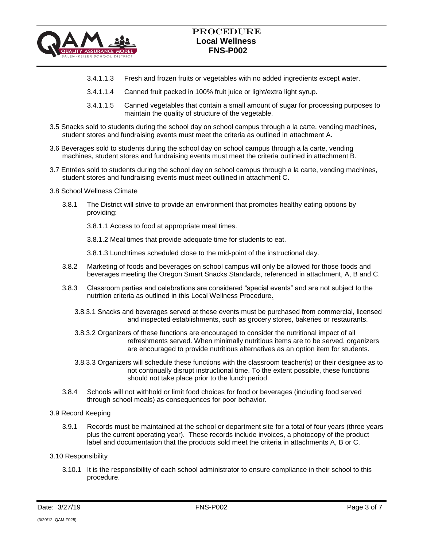

- 3.4.1.1.3 Fresh and frozen fruits or vegetables with no added ingredients except water.
- 3.4.1.1.4 Canned fruit packed in 100% fruit juice or light/extra light syrup.
- 3.4.1.1.5 Canned vegetables that contain a small amount of sugar for processing purposes to maintain the quality of structure of the vegetable.
- 3.5 Snacks sold to students during the school day on school campus through a la carte, vending machines, student stores and fundraising events must meet the criteria as outlined in attachment A.
- 3.6 Beverages sold to students during the school day on school campus through a la carte, vending machines, student stores and fundraising events must meet the criteria outlined in attachment B.
- 3.7 Entrées sold to students during the school day on school campus through a la carte, vending machines, student stores and fundraising events must meet outlined in attachment C.
- 3.8 School Wellness Climate
	- 3.8.1 The District will strive to provide an environment that promotes healthy eating options by providing:
		- 3.8.1.1 Access to food at appropriate meal times.
		- 3.8.1.2 Meal times that provide adequate time for students to eat.
		- 3.8.1.3 Lunchtimes scheduled close to the mid-point of the instructional day.
	- 3.8.2 Marketing of foods and beverages on school campus will only be allowed for those foods and beverages meeting the Oregon Smart Snacks Standards, referenced in attachment, A, B and C.
	- 3.8.3 Classroom parties and celebrations are considered "special events" and are not subject to the nutrition criteria as outlined in this Local Wellness Procedure.
		- 3.8.3.1 Snacks and beverages served at these events must be purchased from commercial, licensed and inspected establishments, such as grocery stores, bakeries or restaurants.
		- 3.8.3.2 Organizers of these functions are encouraged to consider the nutritional impact of all refreshments served. When minimally nutritious items are to be served, organizers are encouraged to provide nutritious alternatives as an option item for students.
		- 3.8.3.3 Organizers will schedule these functions with the classroom teacher(s) or their designee as to not continually disrupt instructional time. To the extent possible, these functions should not take place prior to the lunch period.
	- 3.8.4 Schools will not withhold or limit food choices for food or beverages (including food served through school meals) as consequences for poor behavior.
- 3.9 Record Keeping
	- 3.9.1 Records must be maintained at the school or department site for a total of four years (three years plus the current operating year). These records include invoices, a photocopy of the product label and documentation that the products sold meet the criteria in attachments A, B or C.
- 3.10 Responsibility
	- 3.10.1 It is the responsibility of each school administrator to ensure compliance in their school to this procedure.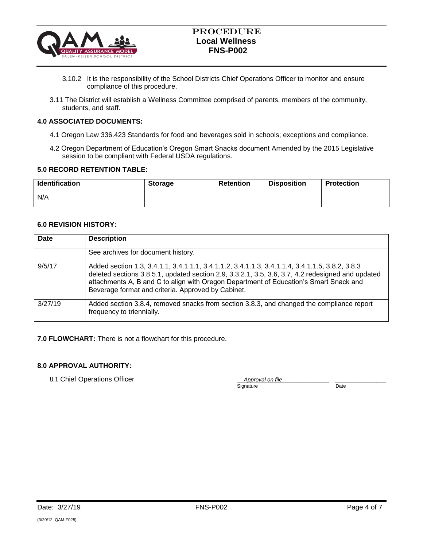

- 3.10.2 It is the responsibility of the School Districts Chief Operations Officer to monitor and ensure compliance of this procedure.
- 3.11 The District will establish a Wellness Committee comprised of parents, members of the community, students, and staff.

## **4.0 ASSOCIATED DOCUMENTS:**

- 4.1 Oregon Law 336.423 Standards for food and beverages sold in schools; exceptions and compliance.
- 4.2 Oregon Department of Education's Oregon Smart Snacks document Amended by the 2015 Legislative session to be compliant with Federal USDA regulations.

#### **5.0 RECORD RETENTION TABLE:**

| <b>Identification</b> | <b>Storage</b> | <b>Retention</b> | <b>Disposition</b> | <b>Protection</b> |
|-----------------------|----------------|------------------|--------------------|-------------------|
| N/A                   |                |                  |                    |                   |

### **6.0 REVISION HISTORY:**

| Date    | <b>Description</b>                                                                                                                                                                                                                                                                                                                                  |
|---------|-----------------------------------------------------------------------------------------------------------------------------------------------------------------------------------------------------------------------------------------------------------------------------------------------------------------------------------------------------|
|         | See archives for document history.                                                                                                                                                                                                                                                                                                                  |
| 9/5/17  | Added section 1.3, 3.4.1.1, 3.4.1.1.1, 3.4.1.1.2, 3.4.1.1.3, 3.4.1.1.4, 3.4.1.1.5, 3.8.2, 3.8.3<br>deleted sections 3.8.5.1, updated section 2.9, 3.3.2.1, 3.5, 3.6, 3.7, 4.2 redesigned and updated<br>attachments A, B and C to align with Oregon Department of Education's Smart Snack and<br>Beverage format and criteria. Approved by Cabinet. |
| 3/27/19 | Added section 3.8.4, removed snacks from section 3.8.3, and changed the compliance report<br>frequency to triennially.                                                                                                                                                                                                                              |

**7.0 FLOWCHART:** There is not a flowchart for this procedure.

#### **8.0 APPROVAL AUTHORITY:**

8.1 Chief Operations Officer

Approval on file<br>
mature Date Signature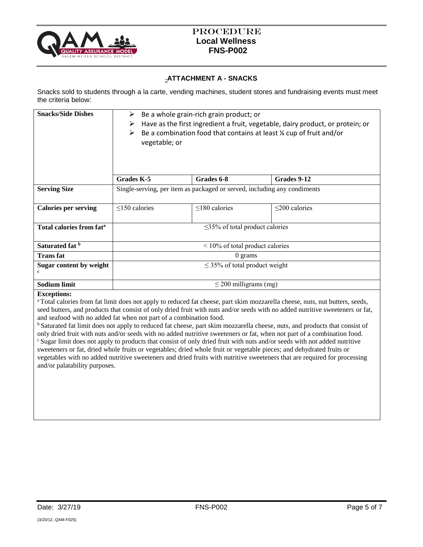

## **ATTACHMENT A - SNACKS**

Snacks sold to students through a la carte, vending machines, student stores and fundraising events must meet the criteria below:

| <b>Snacks/Side Dishes</b>            | Be a whole grain-rich grain product; or<br>⋗<br>Have as the first ingredient a fruit, vegetable, dairy product, or protein; or<br>➤<br>Be a combination food that contains at least % cup of fruit and/or<br>➤<br>vegetable; or |                     |                     |
|--------------------------------------|---------------------------------------------------------------------------------------------------------------------------------------------------------------------------------------------------------------------------------|---------------------|---------------------|
|                                      | Grades K-5                                                                                                                                                                                                                      | Grades 6-8          | Grades 9-12         |
| <b>Serving Size</b>                  | Single-serving, per item as packaged or served, including any condiments                                                                                                                                                        |                     |                     |
| <b>Calories per serving</b>          | $\leq$ 150 calories                                                                                                                                                                                                             | $\leq$ 180 calories | $\leq$ 200 calories |
| Total calories from fat <sup>a</sup> | $\leq$ 35% of total product calories                                                                                                                                                                                            |                     |                     |
| Saturated fat b                      | $\leq 10\%$ of total product calories                                                                                                                                                                                           |                     |                     |
| <b>Trans</b> fat                     | $0 \text{ grams}$                                                                                                                                                                                                               |                     |                     |
| Sugar content by weight              | $\leq$ 35% of total product weight                                                                                                                                                                                              |                     |                     |
| <b>Sodium limit</b>                  | $\leq$ 200 milligrams (mg)                                                                                                                                                                                                      |                     |                     |

#### **Exceptions:**

<sup>a</sup>Total calories from fat limit does not apply to reduced fat cheese, part skim mozzarella cheese, nuts, nut butters, seeds, seed butters, and products that consist of only dried fruit with nuts and/or seeds with no added nutritive sweeteners or fat, and seafood with no added fat when not part of a combination food.

<sup>b</sup> Saturated fat limit does not apply to reduced fat cheese, part skim mozzarella cheese, nuts, and products that consist of only dried fruit with nuts and/or seeds with no added nutritive sweeteners or fat, when not part of a combination food. <sup>c</sup> Sugar limit does not apply to products that consist of only dried fruit with nuts and/or seeds with not added nutritive sweeteners or fat, dried whole fruits or vegetables; dried whole fruit or vegetable pieces; and dehydrated fruits or vegetables with no added nutritive sweeteners and dried fruits with nutritive sweeteners that are required for processing and/or palatability purposes.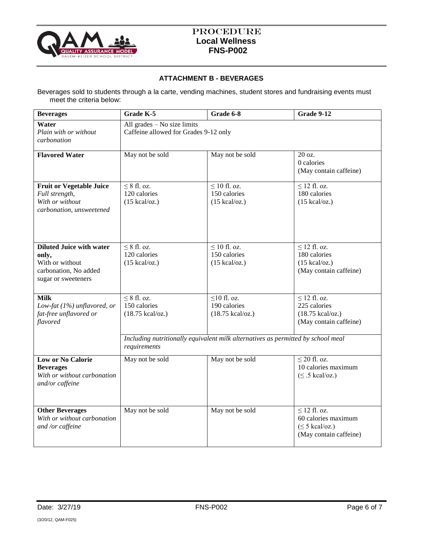

## **ATTACHMENT B - BEVERAGES**

Beverages sold to students through a la carte, vending machines, student stores and fundraising events must meet the criteria below:

| <b>Beverages</b>                                                                                            | Grade K-5                                                              | Grade 6-8                                                                        | <b>Grade 9-12</b>                                                                                 |
|-------------------------------------------------------------------------------------------------------------|------------------------------------------------------------------------|----------------------------------------------------------------------------------|---------------------------------------------------------------------------------------------------|
| Water<br>Plain with or without<br>carbonation                                                               | All grades $-$ No size limits<br>Caffeine allowed for Grades 9-12 only |                                                                                  |                                                                                                   |
| <b>Flavored Water</b>                                                                                       | May not be sold                                                        | May not be sold                                                                  | 20 oz.<br>0 calories<br>(May contain caffeine)                                                    |
| <b>Fruit or Vegetable Juice</b><br>Full strength,<br>With or without<br>carbonation, unsweetened            | $\leq 8$ fl. oz.<br>120 calories<br>$(15 \text{ kcal/oz.})$            | $\leq$ 10 fl. oz.<br>150 calories<br>$(15 \text{ kcal/oz.})$                     | $\leq$ 12 fl. oz.<br>180 calories<br>$(15 \text{ kcal/oz.})$                                      |
| <b>Diluted Juice with water</b><br>only,<br>With or without<br>carbonation, No added<br>sugar or sweeteners | $\leq 8$ fl. oz.<br>120 calories<br>$(15 \text{ kcal/oz.})$            | $\leq 10$ fl. oz.<br>150 calories<br>$(15 \text{ kcal/oz.})$                     | $\leq$ 12 fl. oz.<br>180 calories<br>$(15 \text{ kcal/oz.})$<br>(May contain caffeine)            |
| <b>Milk</b><br>Low-fat (1%) unflavored, or<br>fat-free unflavored or<br>flavored                            | $\leq 8$ fl. oz.<br>150 calories<br>$(18.75 \text{ kcal/oz.})$         | $\leq$ 10 fl. oz.<br>190 calories<br>$(18.75$ kcal/oz.)                          | $\leq$ 12 fl. oz.<br>225 calories<br>$(18.75$ kcal/oz.)<br>(May contain caffeine)                 |
|                                                                                                             | requirements                                                           | Including nutritionally equivalent milk alternatives as permitted by school meal |                                                                                                   |
| <b>Low or No Calorie</b><br><b>Beverages</b><br>With or without carbonation<br>and/or caffeine              | May not be sold                                                        | May not be sold                                                                  | $\leq$ 20 fl. oz.<br>10 calories maximum<br>$(\leq .5 \text{ kcal/oz.})$                          |
| <b>Other Beverages</b><br>With or without carbonation<br>and /or caffeine                                   | May not be sold                                                        | May not be sold                                                                  | $\leq$ 12 fl. oz.<br>60 calories maximum<br>$(\leq 5 \text{ kcal/oz.})$<br>(May contain caffeine) |